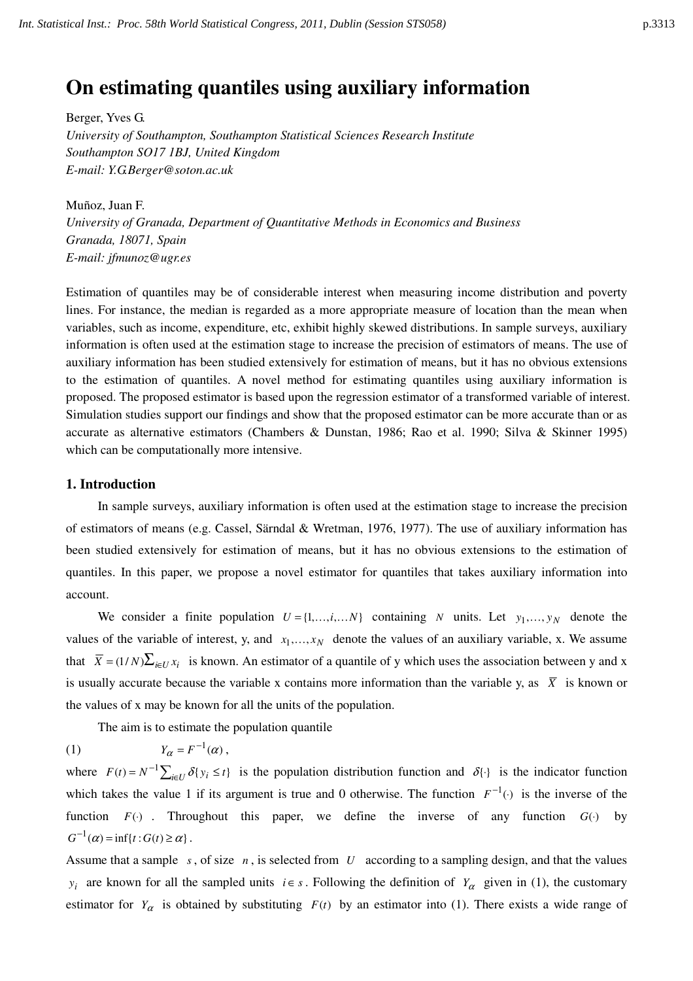# **On estimating quantiles using auxiliary information**

Berger, Yves G. *University of Southampton, Southampton Statistical Sciences Research Institute Southampton SO17 1BJ, United Kingdom E-mail: Y.G.Berger@soton.ac.uk* 

Muñoz, Juan F. *University of Granada, Department of Quantitative Methods in Economics and Business Granada, 18071, Spain E-mail: jfmunoz@ugr.es* 

Estimation of quantiles may be of considerable interest when measuring income distribution and poverty lines. For instance, the median is regarded as a more appropriate measure of location than the mean when variables, such as income, expenditure, etc, exhibit highly skewed distributions. In sample surveys, auxiliary information is often used at the estimation stage to increase the precision of estimators of means. The use of auxiliary information has been studied extensively for estimation of means, but it has no obvious extensions to the estimation of quantiles. A novel method for estimating quantiles using auxiliary information is proposed. The proposed estimator is based upon the regression estimator of a transformed variable of interest. Simulation studies support our findings and show that the proposed estimator can be more accurate than or as accurate as alternative estimators (Chambers & Dunstan, 1986; Rao et al. 1990; Silva & Skinner 1995) which can be computationally more intensive.

## **1. Introduction**

In sample surveys, auxiliary information is often used at the estimation stage to increase the precision of estimators of means (e.g. Cassel, Särndal & Wretman, 1976, 1977). The use of auxiliary information has been studied extensively for estimation of means, but it has no obvious extensions to the estimation of quantiles. In this paper, we propose a novel estimator for quantiles that takes auxiliary information into account.

We consider a finite population  $U = \{1, \ldots, i, \ldots N\}$  containing *N* units. Let  $y_1, \ldots, y_N$  denote the values of the variable of interest, y, and  $x_1, \ldots, x_N$  denote the values of an auxiliary variable, x. We assume that  $\overline{X} = (1/N)\sum_{i\in I}x_i$  is known. An estimator of a quantile of y which uses the association between y and x is usually accurate because the variable x contains more information than the variable y, as  $\overline{X}$  is known or the values of x may be known for all the units of the population.

The aim is to estimate the population quantile

(1)  $Y_{\alpha} = F^{-1}(\alpha)$ ,

where  $F(t) = N^{-1} \sum_{i \in U} \delta\{y_i \le t\}$  is the population distribution function and  $\delta\{\cdot\}$  is the indicator function which takes the value 1 if its argument is true and 0 otherwise. The function  $F^{-1}(\cdot)$  is the inverse of the function  $F(\cdot)$ . Throughout this paper, we define the inverse of any function  $G(\cdot)$  by  $G^{-1}(\alpha) = \inf\{t : G(t) \geq \alpha\}.$ 

Assume that a sample *s* , of size *n* , is selected from *U* according to a sampling design, and that the values *y*<sub>*i*</sub> are known for all the sampled units  $i \in s$ . Following the definition of *Y*<sub>α</sub> given in (1), the customary estimator for  $Y_\alpha$  is obtained by substituting  $F(t)$  by an estimator into (1). There exists a wide range of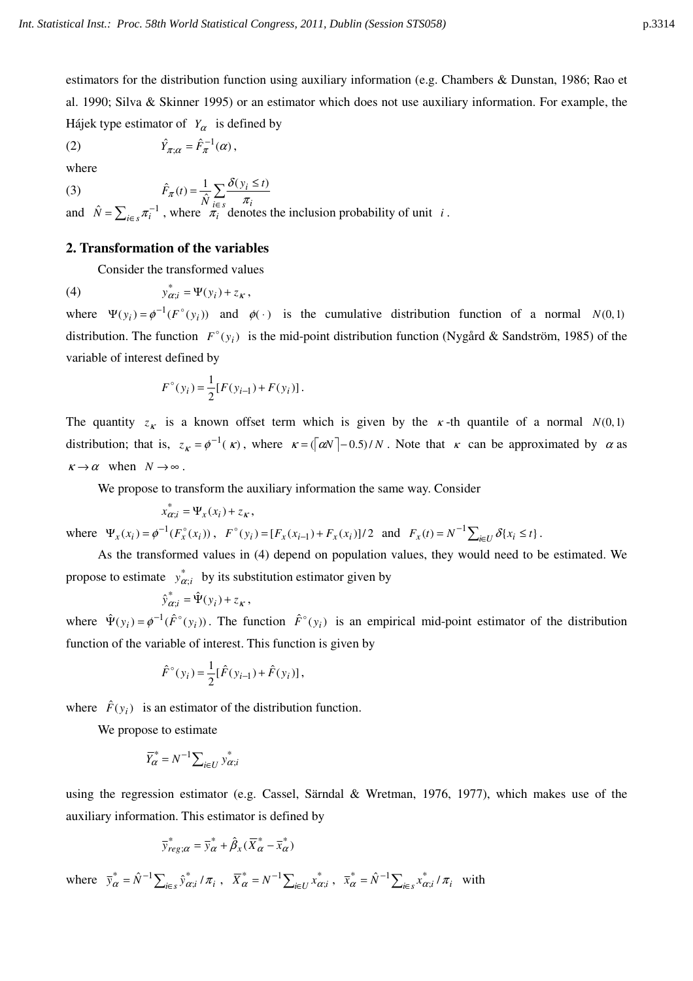estimators for the distribution function using auxiliary information (e.g. Chambers & Dunstan, 1986; Rao et al. 1990; Silva & Skinner 1995) or an estimator which does not use auxiliary information. For example, the Hájek type estimator of  $Y_\alpha$  is defined by

where

(2) 
$$
\hat{Y}_{\pi;\alpha} = \hat{F}_{\pi}^{-1}(\alpha),
$$
 where

(3) 
$$
\hat{F}_{\pi}(t) = \frac{1}{\hat{N}} \sum_{i \in S} \frac{\delta(y_i \le t)}{\pi_i}
$$

and  $\hat{N} = \sum_{i \in S} \pi_i^{-1}$ , where  $\pi_i$  denotes the inclusion probability of unit *i*.

### **2. Transformation of the variables**

Consider the transformed values

(4)  $y_{\alpha;i}^* = \Psi(y_i) + z_{\kappa},$ 

where  $\Psi(y_i) = \phi^{-1}(F^{\circ}(y_i))$  and  $\phi(\cdot)$  is the cumulative distribution function of a normal *N*(0,1) distribution. The function  $F^{\circ}(y_i)$  is the mid-point distribution function (Nygård & Sandström, 1985) of the variable of interest defined by

$$
F^{\circ}(y_i) = \frac{1}{2} [F(y_{i-1}) + F(y_i)].
$$

The quantity  $z_{\kappa}$  is a known offset term which is given by the  $\kappa$ -th quantile of a normal  $N(0,1)$ distribution; that is,  $z_{\kappa} = \phi^{-1}(\kappa)$ , where  $\kappa = (\alpha N - 0.5)/N$ . Note that  $\kappa$  can be approximated by  $\alpha$  as  $\kappa \to \alpha$  when  $N \to \infty$ .

We propose to transform the auxiliary information the same way. Consider

$$
x_{\alpha;i}^* = \Psi_x(x_i) + z_{\kappa},
$$

where  $\Psi_x(x_i) = \phi^{-1}(F_x^{\circ}(x_i))$ ,  $F^{\circ}(y_i) = [F_x(x_{i-1}) + F_x(x_i)]/2$  and  $F_x(t) = N^{-1} \sum_{i \in U} \delta\{x_i \le t\}$ .

As the transformed values in (4) depend on population values, they would need to be estimated. We propose to estimate  $y_{\alpha;i}^*$  by its substitution estimator given by

$$
\hat{y}_{\alpha;i}^* = \hat{\Psi}(y_i) + z_{\kappa},
$$

where  $\hat{\Psi}(y_i) = \phi^{-1}(\hat{F}^{\circ}(y_i))$ . The function  $\hat{F}^{\circ}(y_i)$  is an empirical mid-point estimator of the distribution function of the variable of interest. This function is given by

$$
\hat{F}^{\circ}(y_i) = \frac{1}{2} [\hat{F}(y_{i-1}) + \hat{F}(y_i)],
$$

where  $\hat{F}(y_i)$  is an estimator of the distribution function.

We propose to estimate

$$
\overline{Y}_{\alpha}^* = N^{-1} \sum_{i \in U} y_{\alpha;i}^*
$$

using the regression estimator (e.g. Cassel, Särndal & Wretman, 1976, 1977), which makes use of the auxiliary information. This estimator is defined by

$$
\overline{y}_{reg;\alpha}^* = \overline{y}_{\alpha}^* + \hat{\beta}_x(\overline{X}_{\alpha}^* - \overline{x}_{\alpha}^*)
$$

where  $\bar{y}^*_{\alpha} = \hat{N}^{-1} \sum_{i \in S} \hat{y}^*_{\alpha; i} / \pi_i$ ,  $\bar{X}^*_{\alpha} = N^{-1} \sum_{i \in U} x^*_{\alpha; i}$ ,  $\bar{x}^*_{\alpha} = \hat{N}^{-1} \sum_{i \in S} x^*_{\alpha; i} / \pi_i$  with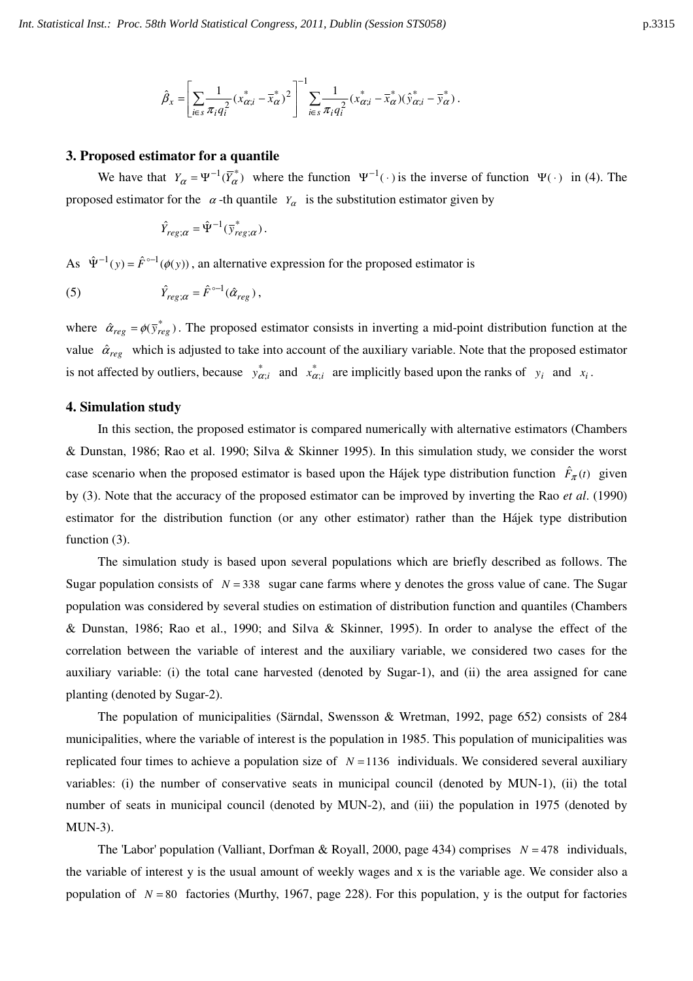$$
\hat{\beta}_x = \left[ \sum_{i \in s} \frac{1}{\pi_i q_i^2} (x_{\alpha;i}^* - \overline{x}_{\alpha}^*)^2 \right]^{-1} \sum_{i \in s} \frac{1}{\pi_i q_i^2} (x_{\alpha;i}^* - \overline{x}_{\alpha}^*) (\hat{y}_{\alpha;i}^* - \overline{y}_{\alpha}^*) .
$$

#### **3. Proposed estimator for a quantile**

We have that  $Y_\alpha = \Psi^{-1}(\overline{Y}_\alpha^*)$  where the function  $\Psi^{-1}(\cdot)$  is the inverse of function  $\Psi(\cdot)$  in (4). The proposed estimator for the  $\alpha$ -th quantile  $Y_\alpha$  is the substitution estimator given by

$$
\hat{Y}_{reg;\alpha} = \hat{\Psi}^{-1}(\bar{y}_{reg;\alpha}^*).
$$

As  $\hat{\Psi}^{-1}(y) = \hat{F}^{\circ-1}(\phi(y))$ , an alternative expression for the proposed estimator is

(5) 
$$
\hat{Y}_{reg;\alpha} = \hat{F}^{\circ -1}(\hat{\alpha}_{reg}),
$$

where  $\hat{\alpha}_{reg} = \phi(\bar{y}_{reg}^*)$ . The proposed estimator consists in inverting a mid-point distribution function at the value  $\hat{\alpha}_{reg}$  which is adjusted to take into account of the auxiliary variable. Note that the proposed estimator is not affected by outliers, because  $y_{\alpha;i}^*$  and  $x_{\alpha;i}^*$  are implicitly based upon the ranks of  $y_i$  and  $x_i$ .

#### **4. Simulation study**

In this section, the proposed estimator is compared numerically with alternative estimators (Chambers & Dunstan, 1986; Rao et al. 1990; Silva & Skinner 1995). In this simulation study, we consider the worst case scenario when the proposed estimator is based upon the Hájek type distribution function  $\hat{F}_{\pi}(t)$  given by (3). Note that the accuracy of the proposed estimator can be improved by inverting the Rao *et al*. (1990) estimator for the distribution function (or any other estimator) rather than the Hájek type distribution function  $(3)$ .

The simulation study is based upon several populations which are briefly described as follows. The Sugar population consists of  $N = 338$  sugar cane farms where y denotes the gross value of cane. The Sugar population was considered by several studies on estimation of distribution function and quantiles (Chambers & Dunstan, 1986; Rao et al., 1990; and Silva & Skinner, 1995). In order to analyse the effect of the correlation between the variable of interest and the auxiliary variable, we considered two cases for the auxiliary variable: (i) the total cane harvested (denoted by Sugar-1), and (ii) the area assigned for cane planting (denoted by Sugar-2).

The population of municipalities (Särndal, Swensson & Wretman, 1992, page 652) consists of 284 municipalities, where the variable of interest is the population in 1985. This population of municipalities was replicated four times to achieve a population size of  $N = 1136$  individuals. We considered several auxiliary variables: (i) the number of conservative seats in municipal council (denoted by MUN-1), (ii) the total number of seats in municipal council (denoted by MUN-2), and (iii) the population in 1975 (denoted by MUN-3).

The 'Labor' population (Valliant, Dorfman & Royall, 2000, page 434) comprises  $N = 478$  individuals, the variable of interest y is the usual amount of weekly wages and x is the variable age. We consider also a population of  $N = 80$  factories (Murthy, 1967, page 228). For this population, y is the output for factories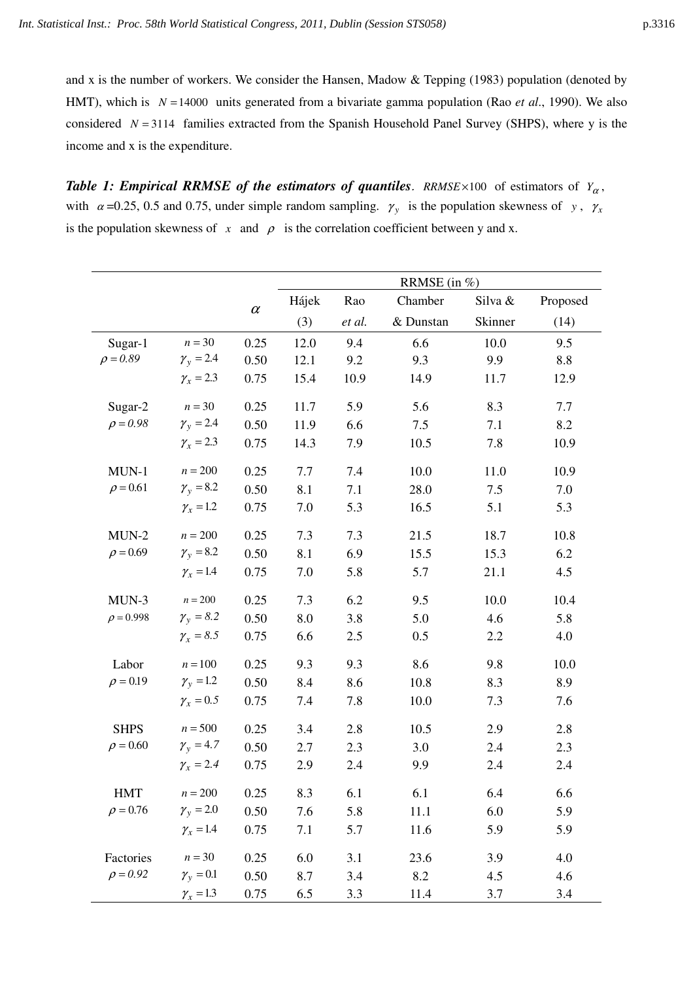and x is the number of workers. We consider the Hansen, Madow & Tepping (1983) population (denoted by HMT), which is *N* =14000 units generated from a bivariate gamma population (Rao *et al*., 1990). We also considered *N* = 3114 families extracted from the Spanish Household Panel Survey (SHPS), where y is the income and x is the expenditure.

*Table 1: Empirical RRMSE of the estimators of quantiles. RRMSE ×100 of estimators of*  $Y_\alpha$ *,* with  $\alpha = 0.25, 0.5$  and 0.75, under simple random sampling.  $\gamma_y$  is the population skewness of *y*,  $\gamma_x$ is the population skewness of  $x$  and  $\rho$  is the correlation coefficient between y and x.

|                |                        |          | RRMSE (in %) |        |           |         |          |
|----------------|------------------------|----------|--------------|--------|-----------|---------|----------|
|                |                        | $\alpha$ | Hájek        | Rao    | Chamber   | Silva & | Proposed |
|                |                        |          | (3)          | et al. | & Dunstan | Skinner | (14)     |
| Sugar-1        | $n = 30$               | 0.25     | 12.0         | 9.4    | 6.6       | 10.0    | 9.5      |
| $\rho = 0.89$  | $\gamma_{y} = 2.4$     | 0.50     | 12.1         | 9.2    | 9.3       | 9.9     | 8.8      |
|                | $\gamma_{x} = 2.3$     | 0.75     | 15.4         | 10.9   | 14.9      | 11.7    | 12.9     |
| Sugar-2        | $n = 30$               | 0.25     | 11.7         | 5.9    | 5.6       | 8.3     | 7.7      |
| $\rho = 0.98$  | $\gamma_{v} = 2.4$     | 0.50     | 11.9         | 6.6    | 7.5       | 7.1     | 8.2      |
|                | $\gamma_{x} = 2.3$     | 0.75     | 14.3         | 7.9    | 10.5      | 7.8     | 10.9     |
| $MUN-1$        | $n = 200$              | 0.25     | 7.7          | 7.4    | 10.0      | 11.0    | 10.9     |
| $\rho = 0.61$  | $\gamma_{\rm y} = 8.2$ | 0.50     | 8.1          | 7.1    | 28.0      | 7.5     | 7.0      |
|                | $\gamma_{x} = 1.2$     | 0.75     | 7.0          | 5.3    | 16.5      | 5.1     | 5.3      |
| $MUN-2$        | $n=200$                | 0.25     | 7.3          | 7.3    | 21.5      | 18.7    | 10.8     |
| $\rho = 0.69$  | $\gamma_{y} = 8.2$     | 0.50     | 8.1          | 6.9    | 15.5      | 15.3    | 6.2      |
|                | $\gamma_x = 1.4$       | 0.75     | 7.0          | 5.8    | 5.7       | 21.1    | 4.5      |
| $MUN-3$        | $n=200$                | 0.25     | 7.3          | 6.2    | 9.5       | 10.0    | 10.4     |
| $\rho = 0.998$ | $\gamma_{v} = 8.2$     | 0.50     | 8.0          | 3.8    | 5.0       | 4.6     | 5.8      |
|                | $\gamma_{x} = 8.5$     | 0.75     | 6.6          | 2.5    | 0.5       | 2.2     | 4.0      |
| Labor          | $n = 100$              | 0.25     | 9.3          | 9.3    | 8.6       | 9.8     | 10.0     |
| $\rho = 0.19$  | $\gamma_{v} = 1.2$     | 0.50     | 8.4          | 8.6    | 10.8      | 8.3     | 8.9      |
|                | $\gamma_x = 0.5$       | 0.75     | 7.4          | 7.8    | 10.0      | 7.3     | 7.6      |
| <b>SHPS</b>    | $n = 500$              | 0.25     | 3.4          | 2.8    | 10.5      | 2.9     | 2.8      |
| $\rho = 0.60$  | $\gamma_{v} = 4.7$     | 0.50     | 2.7          | 2.3    | 3.0       | 2.4     | 2.3      |
|                | $\gamma_{x} = 2.4$     | 0.75     | 2.9          | 2.4    | 9.9       | 2.4     | 2.4      |
| HMT            | $n = 200$              | 0.25     | 8.3          | 6.1    | 6.1       | 6.4     | 6.6      |
| $\rho = 0.76$  | $\gamma_{y} = 2.0$     | 0.50     | 7.6          | 5.8    | 11.1      | 6.0     | 5.9      |
|                | $\gamma_x = 1.4$       | 0.75     | 7.1          | 5.7    | 11.6      | 5.9     | 5.9      |
| Factories      | $n = 30$               | 0.25     | 6.0          | 3.1    | 23.6      | 3.9     | 4.0      |
| $\rho = 0.92$  | $\gamma_{v} = 0.1$     | 0.50     | 8.7          | 3.4    | 8.2       | 4.5     | 4.6      |
|                | $\gamma_x = 1.3$       | 0.75     | 6.5          | 3.3    | 11.4      | 3.7     | 3.4      |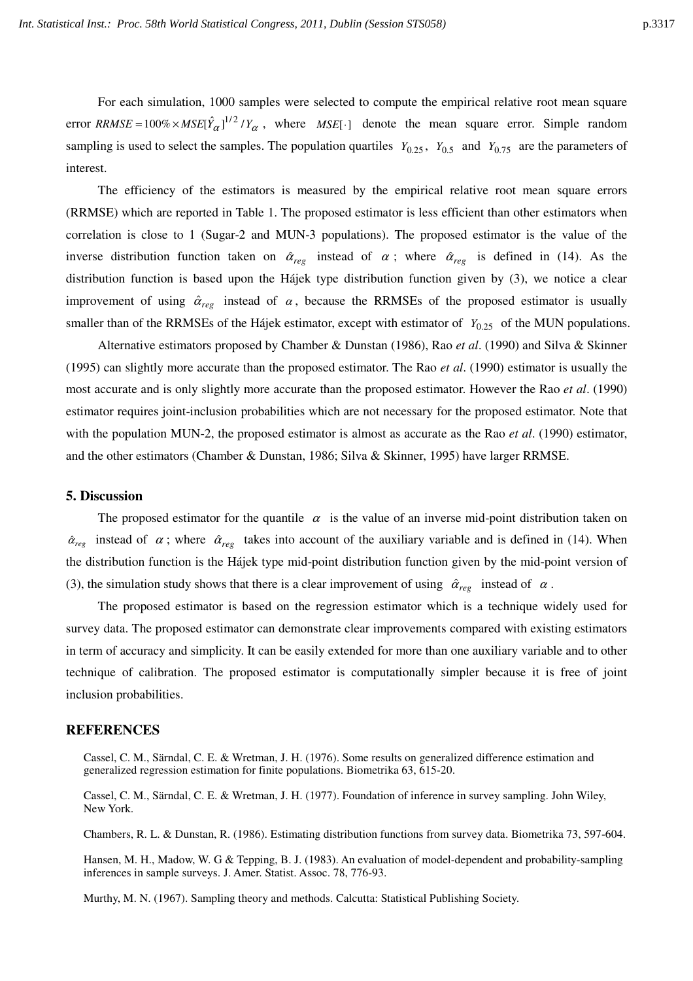For each simulation, 1000 samples were selected to compute the empirical relative root mean square error *RRMSE* =  $100\% \times MSE[\hat{Y}_{\alpha}]^{1/2}/Y_{\alpha}$ , where *MSE*[·] denote the mean square error. Simple random sampling is used to select the samples. The population quartiles  $Y_{0.25}$ ,  $Y_{0.5}$  and  $Y_{0.75}$  are the parameters of interest.

The efficiency of the estimators is measured by the empirical relative root mean square errors (RRMSE) which are reported in Table 1. The proposed estimator is less efficient than other estimators when correlation is close to 1 (Sugar-2 and MUN-3 populations). The proposed estimator is the value of the inverse distribution function taken on  $\hat{\alpha}_{reg}$  instead of  $\alpha$ ; where  $\hat{\alpha}_{reg}$  is defined in (14). As the distribution function is based upon the Hájek type distribution function given by (3), we notice a clear improvement of using  $\hat{\alpha}_{\text{reco}}$  instead of  $\alpha$ , because the RRMSEs of the proposed estimator is usually smaller than of the RRMSEs of the Hájek estimator, except with estimator of  $Y_{0.25}$  of the MUN populations.

Alternative estimators proposed by Chamber & Dunstan (1986), Rao *et al*. (1990) and Silva & Skinner (1995) can slightly more accurate than the proposed estimator. The Rao *et al*. (1990) estimator is usually the most accurate and is only slightly more accurate than the proposed estimator. However the Rao *et al*. (1990) estimator requires joint-inclusion probabilities which are not necessary for the proposed estimator. Note that with the population MUN-2, the proposed estimator is almost as accurate as the Rao *et al*. (1990) estimator, and the other estimators (Chamber & Dunstan, 1986; Silva & Skinner, 1995) have larger RRMSE.

#### **5. Discussion**

The proposed estimator for the quantile  $\alpha$  is the value of an inverse mid-point distribution taken on  $\hat{\alpha}_{reg}$  instead of  $\alpha$ ; where  $\hat{\alpha}_{reg}$  takes into account of the auxiliary variable and is defined in (14). When the distribution function is the Hájek type mid-point distribution function given by the mid-point version of (3), the simulation study shows that there is a clear improvement of using  $\hat{\alpha}_{reg}$  instead of  $\alpha$ .

The proposed estimator is based on the regression estimator which is a technique widely used for survey data. The proposed estimator can demonstrate clear improvements compared with existing estimators in term of accuracy and simplicity. It can be easily extended for more than one auxiliary variable and to other technique of calibration. The proposed estimator is computationally simpler because it is free of joint inclusion probabilities.

#### **REFERENCES**

Cassel, C. M., Särndal, C. E. & Wretman, J. H. (1976). Some results on generalized difference estimation and generalized regression estimation for finite populations. Biometrika 63, 615-20.

Cassel, C. M., Särndal, C. E. & Wretman, J. H. (1977). Foundation of inference in survey sampling. John Wiley, New York.

Chambers, R. L. & Dunstan, R. (1986). Estimating distribution functions from survey data. Biometrika 73, 597-604.

Hansen, M. H., Madow, W. G & Tepping, B. J. (1983). An evaluation of model-dependent and probability-sampling inferences in sample surveys. J. Amer. Statist. Assoc. 78, 776-93.

Murthy, M. N. (1967). Sampling theory and methods. Calcutta: Statistical Publishing Society.